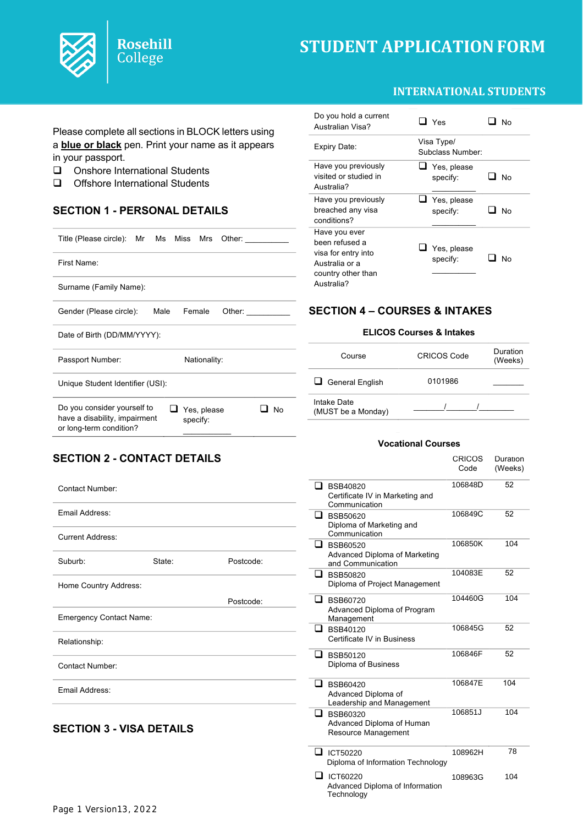



Please complete all sections in BLOCK letters using a **blue or black** pen. Print your name as it appears in your passport.

- $\Box$  Onshore International Students
- $\Box$  Offshore International Students

## **SECTION 1 - PERSONAL DETAILS**

**Rosehill** College

| Title (Please circle): Mr Ms Miss Mrs                                                   | Other:                        |
|-----------------------------------------------------------------------------------------|-------------------------------|
| First Name:                                                                             |                               |
| Surname (Family Name):                                                                  |                               |
| Gender (Please circle):<br>Male                                                         | Female<br>Other:              |
| Date of Birth (DD/MM/YYYY):                                                             |                               |
| Passport Number:                                                                        | Nationality:                  |
| Unique Student Identifier (USI):                                                        |                               |
| Do you consider yourself to<br>have a disability, impairment<br>or long-term condition? | No<br>Yes, please<br>specify: |

#### Do you hold a current  $\Box$  Yes  $\Box$  No<br>Australian Visa? Expiry Date: Visa Type/ Subclass Number: Have you previously visited or studied in Australia?  $\Box$  Yes, please specify:  $\mathcal{L}=\mathcal{L}^{\mathcal{L}}$  $\Box$  No Have you previously breached any visa conditions?  $\overline{\Box}$  Yes, please specify:  $\mathcal{L}$  , we have the set of  $\mathcal{L}$  $\Box$  No Have you ever been refused a visa for entry into Australia or a country other than Australia?  $\Box$  Yes, please specify:  $\mathcal{L}$  . The set of  $\mathcal{L}$  $\Box$  No

## **SECTION 4 – COURSES & INTAKES**

### **ELICOS Courses & Intakes**

| Course                            | <b>CRICOS Code</b> | Duration<br>(Weeks) |
|-----------------------------------|--------------------|---------------------|
| $\Box$ General English            | 0101986            |                     |
| Intake Date<br>(MUST be a Monday) |                    |                     |

## **SECTION 2 - CONTACT DETAILS**

| <b>Contact Number:</b>          |        |           |
|---------------------------------|--------|-----------|
| Email Address:                  |        |           |
| <b>Current Address:</b>         |        |           |
| Suburb:                         | State: | Postcode: |
| Home Country Address:           |        |           |
|                                 |        | Postcode: |
| <b>Emergency Contact Name:</b>  |        |           |
| Relationship:                   |        |           |
| <b>Contact Number:</b>          |        |           |
| Email Address:                  |        |           |
| <b>SECTION 3 - VISA DETAILS</b> |        |           |

#### **Vocational Courses**

|                                                                          | <b>CRICOS</b><br>Code | Duration<br>(Weeks) |
|--------------------------------------------------------------------------|-----------------------|---------------------|
| $\Box$ BSB40820<br>Certificate IV in Marketing and<br>Communication      | 106848D               | 52                  |
| BSB50620<br>Diploma of Marketing and<br>Communication                    | 106849C               | 52                  |
| <b>BSB60520</b><br>Advanced Diploma of Marketing<br>and Communication    | 106850K               | 104                 |
| ப<br><b>BSB50820</b><br>Diploma of Project Management                    | 104083E               | 52                  |
| ┚<br><b>BSB60720</b><br>Advanced Diploma of Program<br>Management        | 104460G               | 104                 |
| ப<br><b>BSB40120</b><br>Certificate IV in Business                       | 106845G               | 52                  |
| - 1<br><b>BSB50120</b><br>Diploma of Business                            | 106846F               | 52                  |
| ப<br><b>BSB60420</b><br>Advanced Diploma of<br>Leadership and Management | 106847E               | 104                 |
| BSB60320<br>Advanced Diploma of Human<br>Resource Management             | 106851J               | 104                 |
| Γ1.<br>ICT50220<br>Diploma of Information Technology                     | 108962H               | 78                  |
| ICT60220<br>п<br>Advanced Diploma of Information<br>Technology           | 108963G               | 104                 |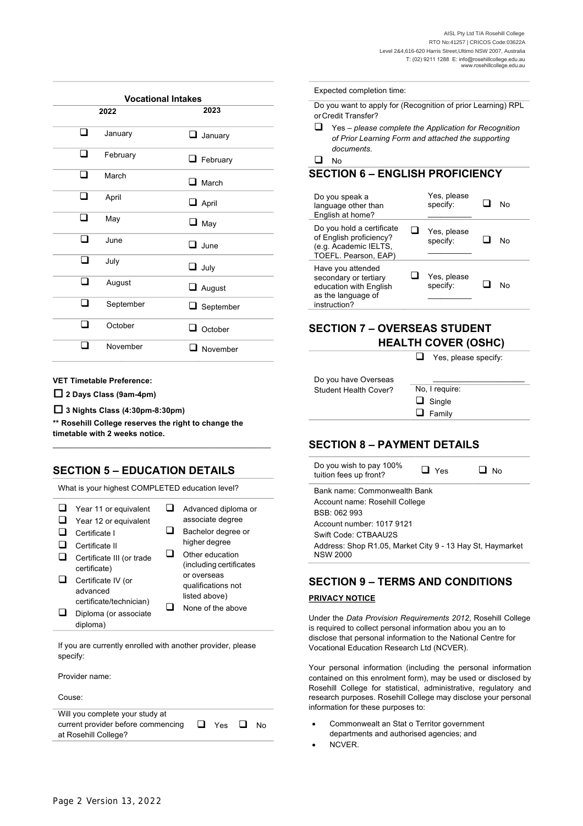| <b>Vocational Intakes</b> |           |  |                  |
|---------------------------|-----------|--|------------------|
|                           | 2022      |  | 2023             |
| n                         | January   |  | $\Box$ January   |
| ᄗ                         | February  |  | $\Box$ February  |
| ר                         | March     |  | $\Box$ March     |
| - 1                       | April     |  | $\Box$ April     |
| n                         | May       |  | $\Box$ May       |
| ⊓                         | June      |  | $\square$ .June  |
| ר                         | July      |  | $\Box$ July      |
| ×.                        | August    |  | $\Box$ August    |
| n l                       | September |  | $\Box$ September |
| п                         | October   |  | $\Box$ October   |
|                           | November  |  | $\Box$ November  |
|                           |           |  |                  |

**VET Timetable Preference:**

**2 Days Class (9am-4pm)**

**3 Nights Class (4:30pm-8:30pm)**

**\*\* Rosehill College reserves the right to change the timetable with 2 weeks notice.** \_\_\_\_\_\_\_\_\_\_\_\_\_\_\_\_\_\_\_\_\_\_\_\_\_\_\_\_\_\_\_\_\_\_\_\_\_\_\_\_\_\_\_\_\_\_\_\_\_\_

### **SECTION 5 – EDUCATION DETAILS**

What is your highest COMPLETED education level?

If you are currently enrolled with another provider, please specify:

Provider name:

Couse:

| Will you complete your study at    |                   |     |  |
|------------------------------------|-------------------|-----|--|
| current provider before commencing | $\Box$ Yes $\Box$ | No. |  |
| at Rosehill College?               |                   |     |  |
|                                    |                   |     |  |

#### Expected completion time:

Do you want to apply for (Recognition of prior Learning) RPL orCredit Transfer?

q Yes – *please complete the Application for Recognition of Prior Learning Form and attached the supporting documents.*

 $\Box$  No

#### **SECTION 6 – ENGLISH PROFICIENCY**

| Do you speak a<br>language other than<br>English at home?                                                  | Yes, please<br>specify: | N٥ |
|------------------------------------------------------------------------------------------------------------|-------------------------|----|
| Do you hold a certificate<br>of English proficiency?<br>(e.g. Academic IELTS,<br>TOEFL. Pearson, EAP)      | Yes, please<br>specify: | N٥ |
| Have you attended<br>secondary or tertiary<br>education with English<br>as the language of<br>instruction? | Yes, please<br>specify: | N٥ |

### **SECTION 7 – OVERSEAS STUDENT HEALTH COVER (OSHC)**

 $\Box$  Yes, please specify:

| Do you have Overseas  |                |
|-----------------------|----------------|
| Student Health Cover? | No, I require: |
|                       | $\Box$ Single  |
|                       | $\Box$ Family  |
|                       |                |

### **SECTION 8 – PAYMENT DETAILS**

| Do you wish to pay 100%<br>tuition fees up front?                            | $\Box$ Yes | <b>No</b> |
|------------------------------------------------------------------------------|------------|-----------|
| Bank name: Commonwealth Bank                                                 |            |           |
| Account name: Rosehill College                                               |            |           |
| BSB: 062 993                                                                 |            |           |
| Account number: 1017 9121                                                    |            |           |
| Swift Code: CTBAAU2S                                                         |            |           |
| Address: Shop R1.05, Market City 9 - 13 Hay St, Haymarket<br><b>NSW 2000</b> |            |           |

# **SECTION 9 – TERMS AND CONDITIONS PRIVACY NOTICE**

Under the *Data Provision Requirements 2012*, Rosehill College is required to collect personal information abou you an to disclose that personal information to the National Centre for Vocational Education Research Ltd (NCVER).

Your personal information (including the personal information contained on this enrolment form), may be used or disclosed by Rosehill College for statistical, administrative, regulatory and research purposes. Rosehill College may disclose your personal information for these purposes to:

- Commonwealt an Stat o Territor government departments and authorised agencies; and
- NCVER.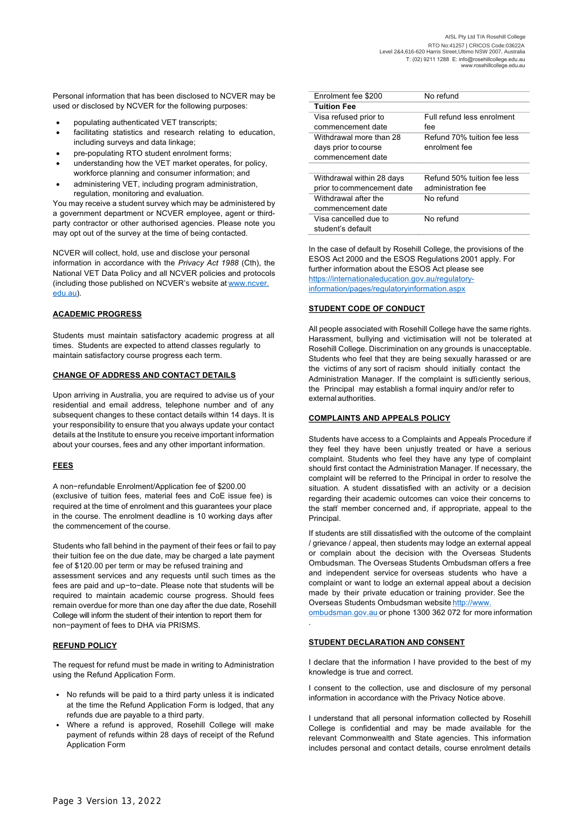Personal information that has been disclosed to NCVER may be used or disclosed by NCVER for the following purposes:

- populating authenticated VET transcripts;
- facilitating statistics and research relating to education, including surveys and data linkage;
- pre-populating RTO student enrolment forms;
- understanding how the VET market operates, for policy, workforce planning and consumer information; and
- administering VET, including program administration, regulation, monitoring and evaluation.

You may receive a student survey which may be administered by a government department or NCVER employee, agent or thirdparty contractor or other authorised agencies. Please note you may opt out of the survey at the time of being contacted.

NCVER will collect, hold, use and disclose your personal information in accordance with the *Privacy Act 1988* (Cth), the National VET Data Policy and all NCVER policies and protocols (including those published on NCVER's website at www.ncver. edu.au).

#### **ACADEMIC PROGRESS**

Students must maintain satisfactory academic progress at all times. Students are expected to attend classes regularly to maintain satisfactory course progress each term.

#### **CHANGE OF ADDRESS AND CONTACT DETAILS**

Upon arriving in Australia, you are required to advise us of your residential and email address, telephone number and of any subsequent changes to these contact details within 14 days. It is your responsibility to ensure that you always update your contact details at the Institute to ensure you receive important information about your courses, fees and any other important information.

#### **FEES**

A non−refundable Enrolment/Application fee of \$200.00 (exclusive of tuition fees, material fees and CoE issue fee) is required at the time of enrolment and this guarantees your place in the course. The enrolment deadline is 10 working days after the commencement of the course.

Students who fall behind in the payment of their fees or fail to pay their tuition fee on the due date, may be charged a late payment fee of \$120.00 per term or may be refused training and assessment services and any requests until such times as the fees are paid and up−to−date. Please note that students will be required to maintain academic course progress. Should fees remain overdue for more than one day after the due date, Rosehill College will inform the student of their intention to report them for non−payment of fees to DHA via PRISMS.

#### **REFUND POLICY**

The request for refund must be made in writing to Administration using the Refund Application Form.

- No refunds will be paid to a third party unless it is indicated at the time the Refund Application Form is lodged, that any refunds due are payable to a third party.
- Where a refund is approved, Rosehill College will make payment of refunds within 28 days of receipt of the Refund Application Form

| Enrolment fee \$200        | No refund                   |
|----------------------------|-----------------------------|
| <b>Tuition Fee</b>         |                             |
| Visa refused prior to      | Full refund less enrolment  |
| commencement date          | fee                         |
| Withdrawal more than 28    | Refund 70% tuition fee less |
| days prior to course       | enrolment fee               |
| commencement date          |                             |
|                            |                             |
| Withdrawal within 28 days  | Refund 50% tuition fee less |
| prior to commencement date | administration fee          |
| Withdrawal after the       | No refund                   |
| commencement date          |                             |
| Visa cancelled due to      | No refund                   |
| student's default          |                             |

In the case of default by Rosehill College, the provisions of the ESOS Act 2000 and the ESOS Regulations 2001 apply. For further information about the ESOS Act please see https://internationaleducation.gov.au/regulatoryinformation/pages/regulatoryinformation.aspx

#### **STUDENT CODE OF CONDUCT**

All people associated with Rosehill College have the same rights. Harassment, bullying and victimisation will not be tolerated at Rosehill College. Discrimination on any grounds is unacceptable. Students who feel that they are being sexually harassed or are the victims of any sort of racism should initially contact the Administration Manager. If the complaint is sufficiently serious, the Principal may establish a formal inquiry and/or refer to externalauthorities.

#### **COMPLAINTS AND APPEALS POLICY**

Students have access to a Complaints and Appeals Procedure if they feel they have been unjustly treated or have a serious complaint. Students who feel they have any type of complaint should first contact the Administration Manager. If necessary, the complaint will be referred to the Principal in order to resolve the situation. A student dissatisfied with an activity or a decision regarding their academic outcomes can voice their concerns to the staff member concerned and, if appropriate, appeal to the Principal.

If students are still dissatisfied with the outcome of the complaint / grievance / appeal, then students may lodge an external appeal or complain about the decision with the Overseas Students Ombudsman. The Overseas Students Ombudsman offers a free and independent service for overseas students who have a complaint or want to lodge an external appeal about a decision made by their private education or training provider. See the Overseas Students Ombudsman website http://www.

ombudsman.gov.au or phone 1300 362 072 for more information .

#### **STUDENT DECLARATION AND CONSENT**

I declare that the information I have provided to the best of my knowledge is true and correct.

I consent to the collection, use and disclosure of my personal information in accordance with the Privacy Notice above.

I understand that all personal information collected by Rosehill College is confidential and may be made available for the relevant Commonwealth and State agencies. This information includes personal and contact details, course enrolment details